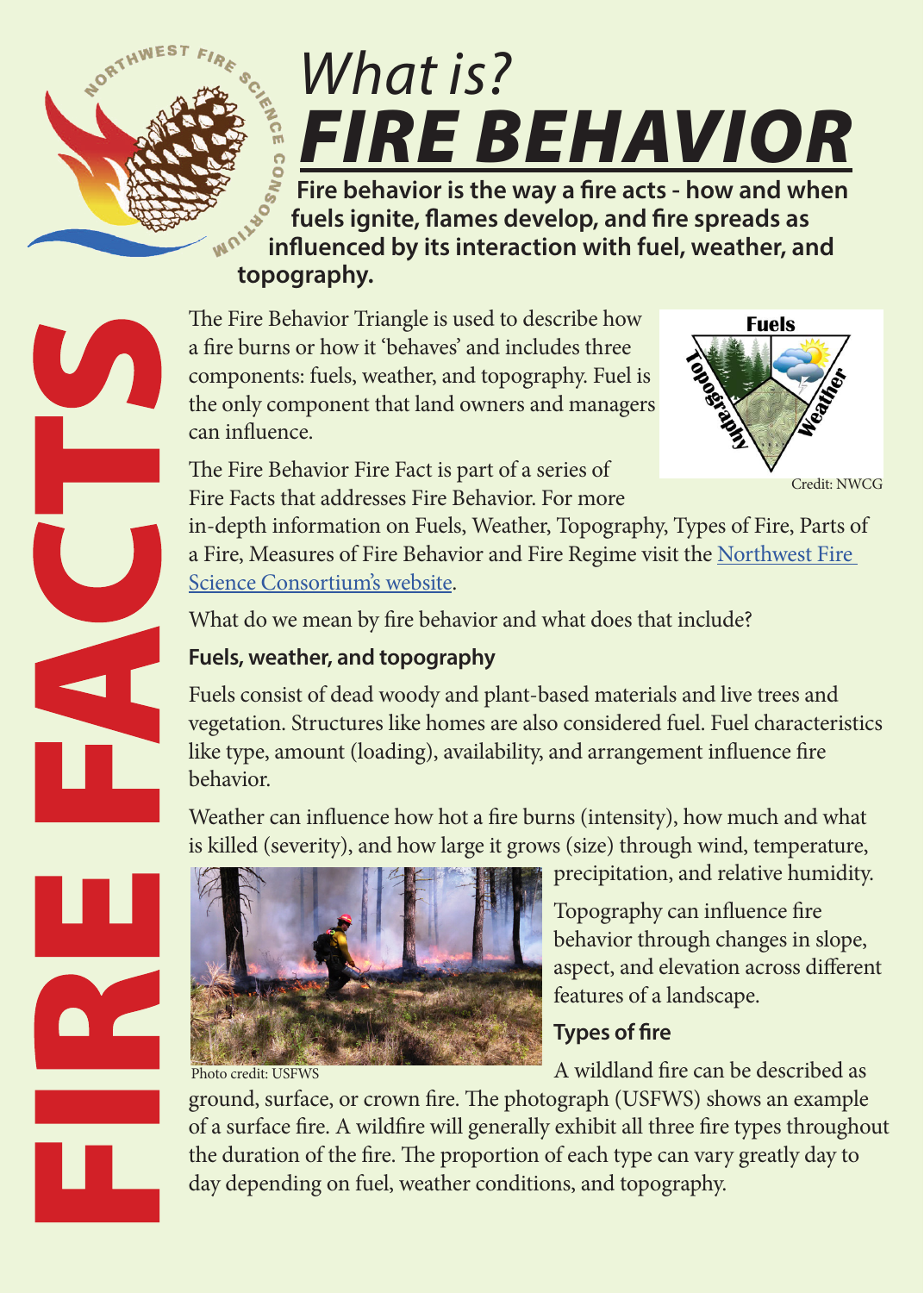

# *What is? FIRE BEHAVIOR*

 **Fire behavior is the way a fire acts - how and when fuels ignite, flames develop, and fire spreads as influenced by its interaction with fuel, weather, and topography.** 

The Fire Behavior Triangle is used to describe how a fire burns or how it 'behaves' and includes three components: fuels, weather, and topography. Fuel is the only component that land owners and managers can influence.



Credit: NWCG

The Fire Behavior Fire Fact is part of a series of Fire Facts that addresses Fire Behavior. For more

in-depth information on Fuels, Weather, Topography, Types of Fire, Parts of a Fire, Measures of Fire Behavior and Fire Regime visit the [Northwest Fire](http://www.nwfirescience.org/biblio/keyword/584)  [Science Consortium's website.](http://www.nwfirescience.org/biblio/keyword/584)

What do we mean by fire behavior and what does that include?

#### **Fuels, weather, and topography**

Fuels consist of dead woody and plant-based materials and live trees and vegetation. Structures like homes are also considered fuel. Fuel characteristics like type, amount (loading), availability, and arrangement influence fire behavior.

Weather can influence how hot a fire burns (intensity), how much and what is killed (severity), and how large it grows (size) through wind, temperature,



Photo credit: USFWS

precipitation, and relative humidity.

Topography can influence fire behavior through changes in slope, aspect, and elevation across different features of a landscape.

# **Types of fire**

A wildland fire can be described as

ground, surface, or crown fire. The photograph (USFWS) shows an example of a surface fire. A wildfire will generally exhibit all three fire types throughout the duration of the fire. The proportion of each type can vary greatly day to day depending on fuel, weather conditions, and topography.